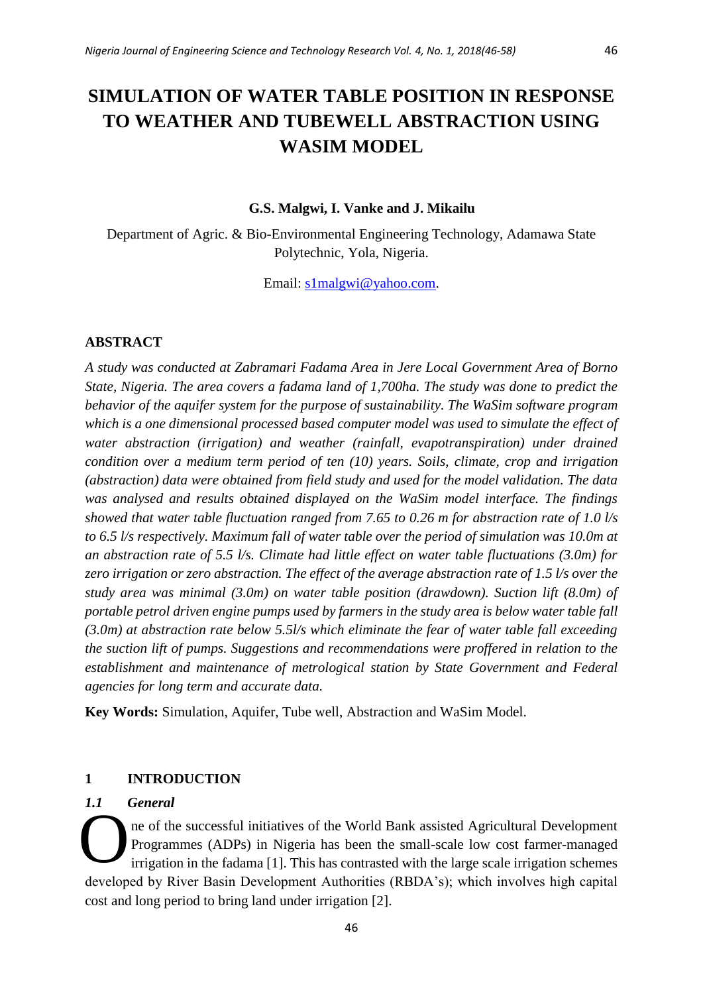# **G.S. Malgwi, I. Vanke and J. Mikailu**

Department of Agric. & Bio-Environmental Engineering Technology, Adamawa State Polytechnic, Yola, Nigeria.

Email: [s1malgwi@yahoo.com.](mailto:s1malgwi@yahoo.com)

## **ABSTRACT**

*A study was conducted at Zabramari Fadama Area in Jere Local Government Area of Borno State, Nigeria. The area covers a fadama land of 1,700ha. The study was done to predict the behavior of the aquifer system for the purpose of sustainability. The WaSim software program which is a one dimensional processed based computer model was used to simulate the effect of water abstraction (irrigation) and weather (rainfall, evapotranspiration) under drained condition over a medium term period of ten (10) years. Soils, climate, crop and irrigation (abstraction) data were obtained from field study and used for the model validation. The data was analysed and results obtained displayed on the WaSim model interface. The findings showed that water table fluctuation ranged from 7.65 to 0.26 m for abstraction rate of 1.0 l/s to 6.5 l/s respectively. Maximum fall of water table over the period of simulation was 10.0m at an abstraction rate of 5.5 l/s. Climate had little effect on water table fluctuations (3.0m) for zero irrigation or zero abstraction. The effect of the average abstraction rate of 1.5 l/s over the study area was minimal (3.0m) on water table position (drawdown). Suction lift (8.0m) of portable petrol driven engine pumps used by farmers in the study area is below water table fall (3.0m) at abstraction rate below 5.5l/s which eliminate the fear of water table fall exceeding the suction lift of pumps. Suggestions and recommendations were proffered in relation to the establishment and maintenance of metrological station by State Government and Federal agencies for long term and accurate data.* 

**Key Words:** Simulation, Aquifer, Tube well, Abstraction and WaSim Model.

### **1 INTRODUCTION**

## *1.1 General*

ne of the successful initiatives of the World Bank assisted Agricultural Development Programmes (ADPs) in Nigeria has been the small-scale low cost farmer-managed irrigation in the fadama [1]. This has contrasted with the large scale irrigation schemes developed by River Basin Development Authorities (RBDA's); which involves high capital cost and long period to bring land under irrigation [2].  $\ddot{\mathbf{O}}$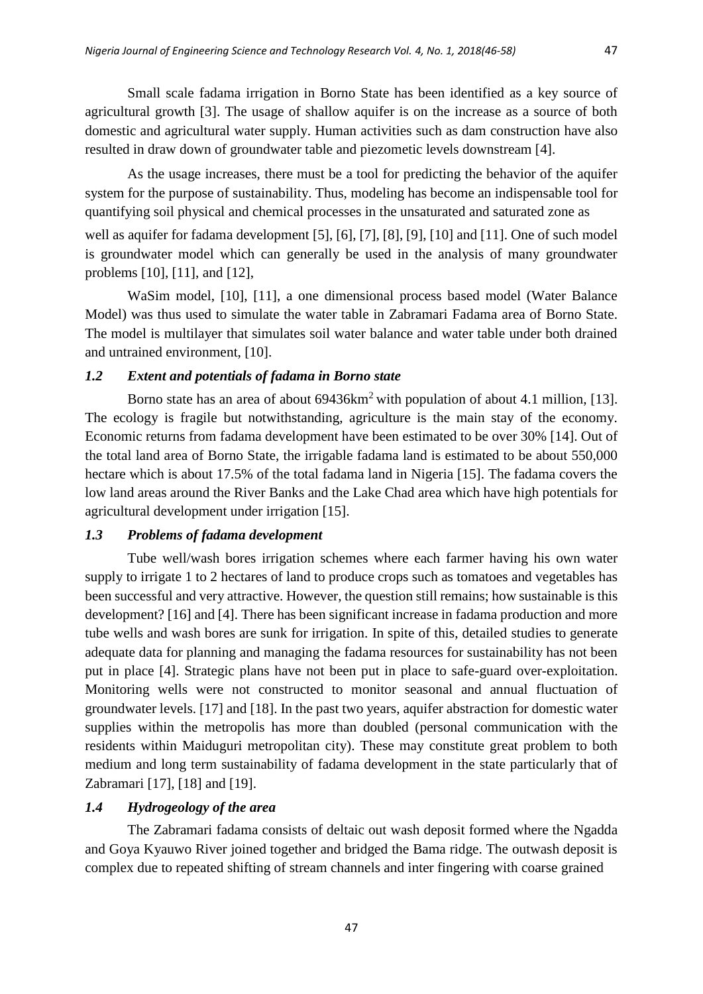Small scale fadama irrigation in Borno State has been identified as a key source of agricultural growth [3]. The usage of shallow aquifer is on the increase as a source of both domestic and agricultural water supply. Human activities such as dam construction have also resulted in draw down of groundwater table and piezometic levels downstream [4].

As the usage increases, there must be a tool for predicting the behavior of the aquifer system for the purpose of sustainability. Thus, modeling has become an indispensable tool for quantifying soil physical and chemical processes in the unsaturated and saturated zone as

well as aquifer for fadama development [5], [6], [7], [8], [9], [10] and [11]. One of such model is groundwater model which can generally be used in the analysis of many groundwater problems [10], [11], and [12],

WaSim model, [10], [11], a one dimensional process based model (Water Balance Model) was thus used to simulate the water table in Zabramari Fadama area of Borno State. The model is multilayer that simulates soil water balance and water table under both drained and untrained environment, [10].

# *1.2 Extent and potentials of fadama in Borno state*

Borno state has an area of about 69436km<sup>2</sup> with population of about 4.1 million, [13]. The ecology is fragile but notwithstanding, agriculture is the main stay of the economy. Economic returns from fadama development have been estimated to be over 30% [14]. Out of the total land area of Borno State, the irrigable fadama land is estimated to be about 550,000 hectare which is about 17.5% of the total fadama land in Nigeria [15]. The fadama covers the low land areas around the River Banks and the Lake Chad area which have high potentials for agricultural development under irrigation [15].

# *1.3 Problems of fadama development*

Tube well/wash bores irrigation schemes where each farmer having his own water supply to irrigate 1 to 2 hectares of land to produce crops such as tomatoes and vegetables has been successful and very attractive. However, the question still remains; how sustainable is this development? [16] and [4]. There has been significant increase in fadama production and more tube wells and wash bores are sunk for irrigation. In spite of this, detailed studies to generate adequate data for planning and managing the fadama resources for sustainability has not been put in place [4]. Strategic plans have not been put in place to safe-guard over-exploitation. Monitoring wells were not constructed to monitor seasonal and annual fluctuation of groundwater levels. [17] and [18]. In the past two years, aquifer abstraction for domestic water supplies within the metropolis has more than doubled (personal communication with the residents within Maiduguri metropolitan city). These may constitute great problem to both medium and long term sustainability of fadama development in the state particularly that of Zabramari [17], [18] and [19].

# *1.4 Hydrogeology of the area*

The Zabramari fadama consists of deltaic out wash deposit formed where the Ngadda and Goya Kyauwo River joined together and bridged the Bama ridge. The outwash deposit is complex due to repeated shifting of stream channels and inter fingering with coarse grained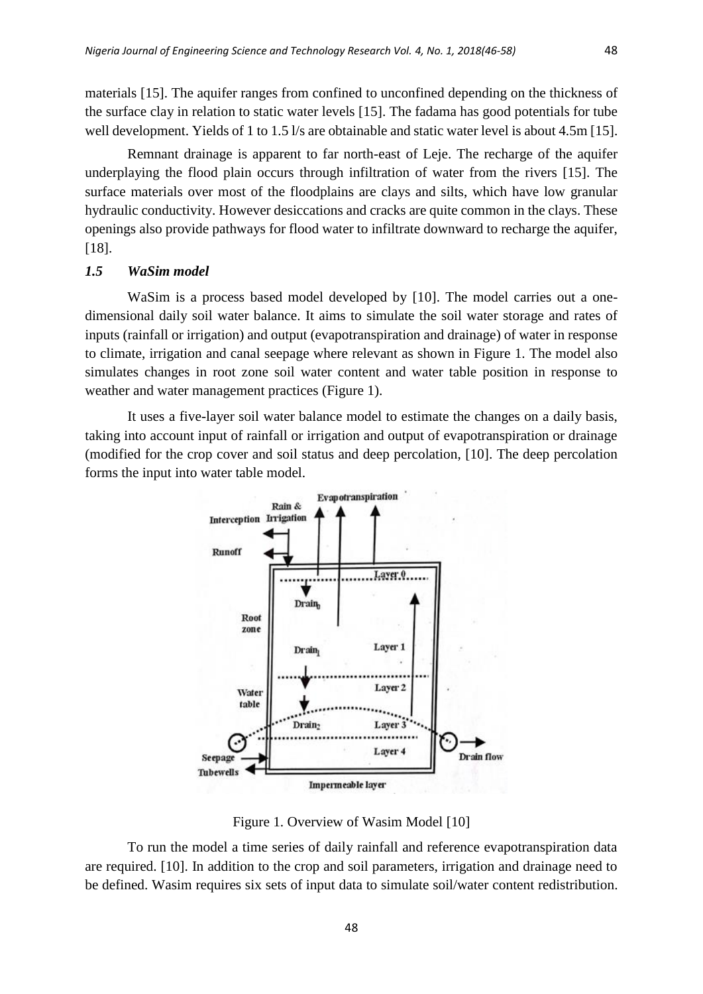materials [15]. The aquifer ranges from confined to unconfined depending on the thickness of the surface clay in relation to static water levels [15]. The fadama has good potentials for tube

Remnant drainage is apparent to far north-east of Leje. The recharge of the aquifer underplaying the flood plain occurs through infiltration of water from the rivers [15]. The surface materials over most of the floodplains are clays and silts, which have low granular hydraulic conductivity. However desiccations and cracks are quite common in the clays. These openings also provide pathways for flood water to infiltrate downward to recharge the aquifer, [18].

well development. Yields of 1 to 1.5 l/s are obtainable and static water level is about 4.5m [15].

## *1.5 WaSim model*

WaSim is a process based model developed by [10]. The model carries out a onedimensional daily soil water balance. It aims to simulate the soil water storage and rates of inputs (rainfall or irrigation) and output (evapotranspiration and drainage) of water in response to climate, irrigation and canal seepage where relevant as shown in Figure 1. The model also simulates changes in root zone soil water content and water table position in response to weather and water management practices (Figure 1).

It uses a five-layer soil water balance model to estimate the changes on a daily basis, taking into account input of rainfall or irrigation and output of evapotranspiration or drainage (modified for the crop cover and soil status and deep percolation, [10]. The deep percolation forms the input into water table model.



Figure 1. Overview of Wasim Model [10]

To run the model a time series of daily rainfall and reference evapotranspiration data are required. [10]. In addition to the crop and soil parameters, irrigation and drainage need to be defined. Wasim requires six sets of input data to simulate soil/water content redistribution.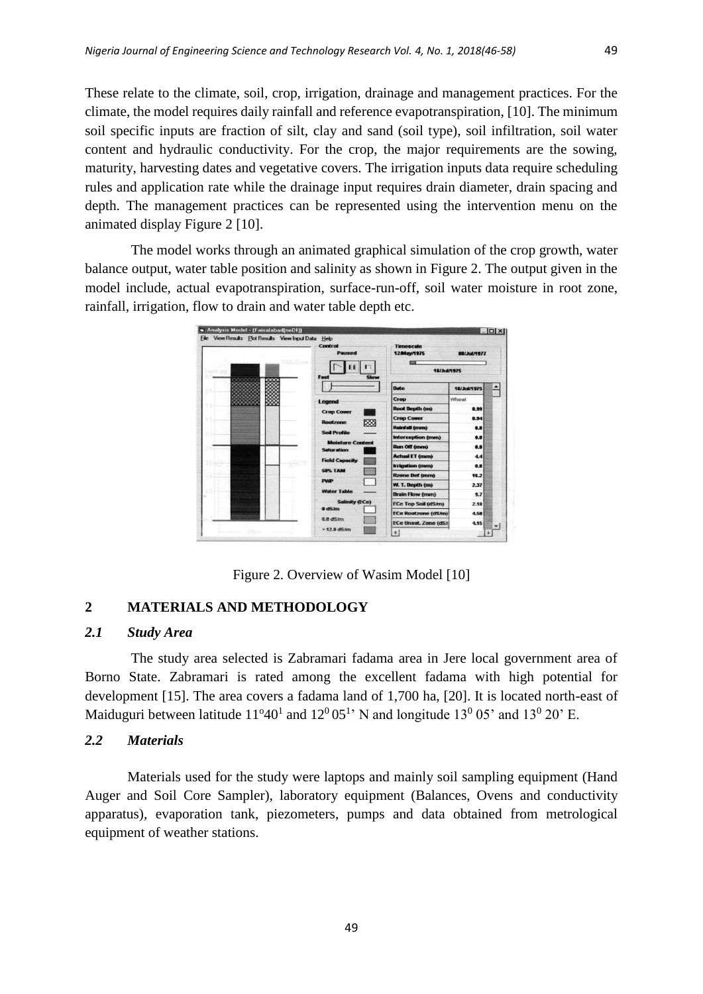These relate to the climate, soil, crop, irrigation, drainage and management practices. For the climate, the model requires daily rainfall and reference evapotranspiration, [10]. The minimum soil specific inputs are fraction of silt, clay and sand (soil type), soil infiltration, soil water content and hydraulic conductivity. For the crop, the major requirements are the sowing, maturity, harvesting dates and vegetative covers. The irrigation inputs data require scheduling rules and application rate while the drainage input requires drain diameter, drain spacing and depth. The management practices can be represented using the intervention menu on the animated display Figure 2 [10].

The model works through an animated graphical simulation of the crop growth, water balance output, water table position and salinity as shown in Figure 2. The output given in the model include, actual evapotranspiration, surface-run-off, soil water moisture in root zone, rainfall, irrigation, flow to drain and water table depth etc.



Figure 2. Overview of Wasim Model [10]

# **2 MATERIALS AND METHODOLOGY**

# *2.1 Study Area*

The study area selected is Zabramari fadama area in Jere local government area of Borno State. Zabramari is rated among the excellent fadama with high potential for development [15]. The area covers a fadama land of 1,700 ha, [20]. It is located north-east of Maiduguri between latitude  $11^{\circ}40^1$  and  $12^{\circ}05^1$ ' N and longitude  $13^{\circ}05$ ' and  $13^{\circ}020$ ' E.

# *2.2 Materials*

Materials used for the study were laptops and mainly soil sampling equipment (Hand Auger and Soil Core Sampler), laboratory equipment (Balances, Ovens and conductivity apparatus), evaporation tank, piezometers, pumps and data obtained from metrological equipment of weather stations.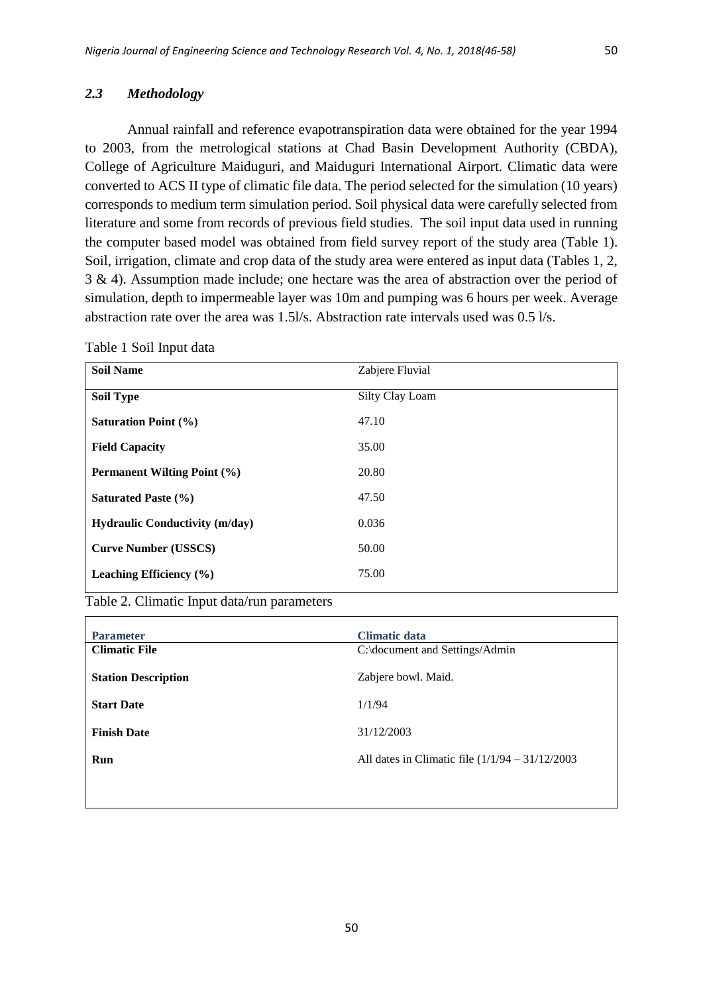### *2.3 Methodology*

Annual rainfall and reference evapotranspiration data were obtained for the year 1994 to 2003, from the metrological stations at Chad Basin Development Authority (CBDA), College of Agriculture Maiduguri, and Maiduguri International Airport. Climatic data were converted to ACS II type of climatic file data. The period selected for the simulation (10 years) corresponds to medium term simulation period. Soil physical data were carefully selected from literature and some from records of previous field studies. The soil input data used in running the computer based model was obtained from field survey report of the study area (Table 1). Soil, irrigation, climate and crop data of the study area were entered as input data (Tables 1, 2, 3 & 4). Assumption made include; one hectare was the area of abstraction over the period of simulation, depth to impermeable layer was 10m and pumping was 6 hours per week. Average abstraction rate over the area was 1.5l/s. Abstraction rate intervals used was 0.5 l/s.

| <b>Soil Name</b>                      | Zabjere Fluvial |
|---------------------------------------|-----------------|
| <b>Soil Type</b>                      | Silty Clay Loam |
| <b>Saturation Point (%)</b>           | 47.10           |
| <b>Field Capacity</b>                 | 35.00           |
| <b>Permanent Wilting Point (%)</b>    | 20.80           |
| <b>Saturated Paste (%)</b>            | 47.50           |
| <b>Hydraulic Conductivity (m/day)</b> | 0.036           |
| <b>Curve Number (USSCS)</b>           | 50.00           |
| Leaching Efficiency $(\% )$           | 75.00           |

| Table 1 Soil Input data |  |  |  |
|-------------------------|--|--|--|
|-------------------------|--|--|--|

|  |  |  |  | Table 2. Climatic Input data/run parameters |
|--|--|--|--|---------------------------------------------|
|--|--|--|--|---------------------------------------------|

| <b>Parameter</b>           | <b>Climatic data</b>                               |
|----------------------------|----------------------------------------------------|
| <b>Climatic File</b>       | C:\document and Settings/Admin                     |
| <b>Station Description</b> | Zabjere bowl. Maid.                                |
| <b>Start Date</b>          | 1/1/94                                             |
| <b>Finish Date</b>         | 31/12/2003                                         |
| Run                        | All dates in Climatic file $(1/1/94 - 31/12/2003)$ |
|                            |                                                    |

50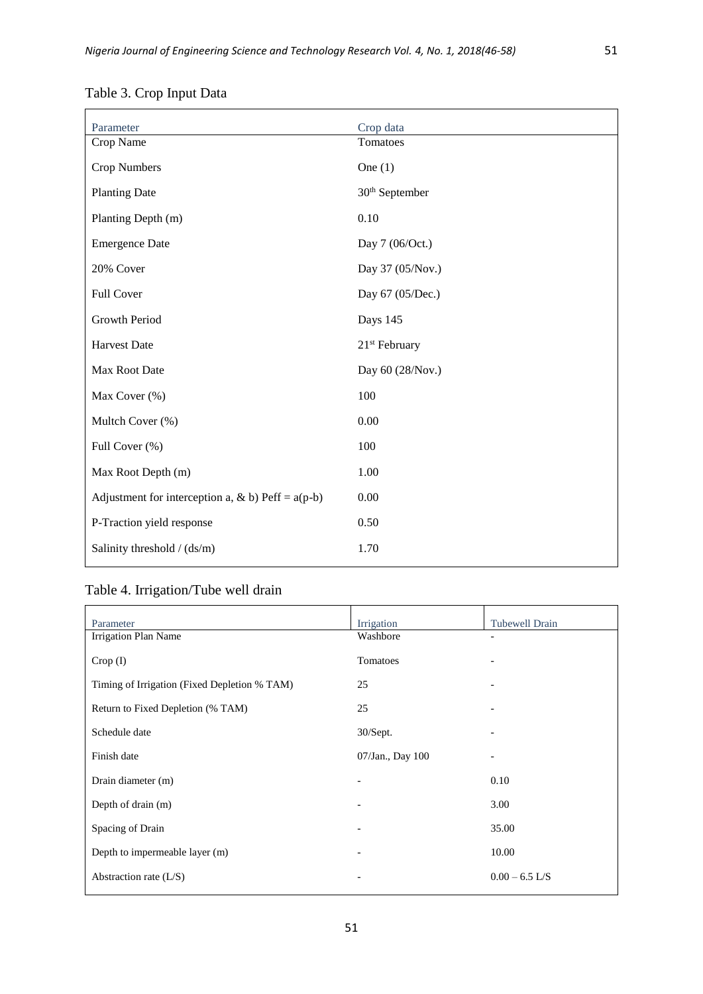|              | I |
|--------------|---|
|              |   |
| I<br>I<br>۰. |   |

| Parameter                                           | Crop data                  |
|-----------------------------------------------------|----------------------------|
| Crop Name                                           | Tomatoes                   |
| Crop Numbers                                        | One $(1)$                  |
| <b>Planting Date</b>                                | 30 <sup>th</sup> September |
| Planting Depth (m)                                  | 0.10                       |
| <b>Emergence Date</b>                               | Day 7 (06/Oct.)            |
| 20% Cover                                           | Day 37 (05/Nov.)           |
| Full Cover                                          | Day 67 (05/Dec.)           |
| Growth Period                                       | Days 145                   |
| <b>Harvest Date</b>                                 | 21 <sup>st</sup> February  |
| Max Root Date                                       | Day 60 (28/Nov.)           |
| Max Cover (%)                                       | 100                        |
| Multch Cover (%)                                    | 0.00                       |
| Full Cover (%)                                      | 100                        |
| Max Root Depth (m)                                  | 1.00                       |
| Adjustment for interception a, & b) Peff = $a(p-b)$ | 0.00                       |
| P-Traction yield response                           | 0.50                       |
| Salinity threshold / (ds/m)                         | 1.70                       |

# Table 3. Crop Input Data

# Table 4. Irrigation/Tube well drain

| Parameter                                    | Irrigation               | <b>Tubewell Drain</b> |
|----------------------------------------------|--------------------------|-----------------------|
| Irrigation Plan Name                         | Washbore                 |                       |
| $Crop$ (I)                                   | Tomatoes                 |                       |
| Timing of Irrigation (Fixed Depletion % TAM) | 25                       |                       |
| Return to Fixed Depletion (% TAM)            | 25                       |                       |
| Schedule date                                | 30/Sept.                 |                       |
| Finish date                                  | 07/Jan., Day 100         |                       |
| Drain diameter (m)                           |                          | 0.10                  |
| Depth of drain (m)                           |                          | 3.00                  |
| Spacing of Drain                             |                          | 35.00                 |
| Depth to impermeable layer (m)               | $\overline{\phantom{a}}$ | 10.00                 |
| Abstraction rate $(L/S)$                     | $\overline{\phantom{a}}$ | $0.00 - 6.5$ L/S      |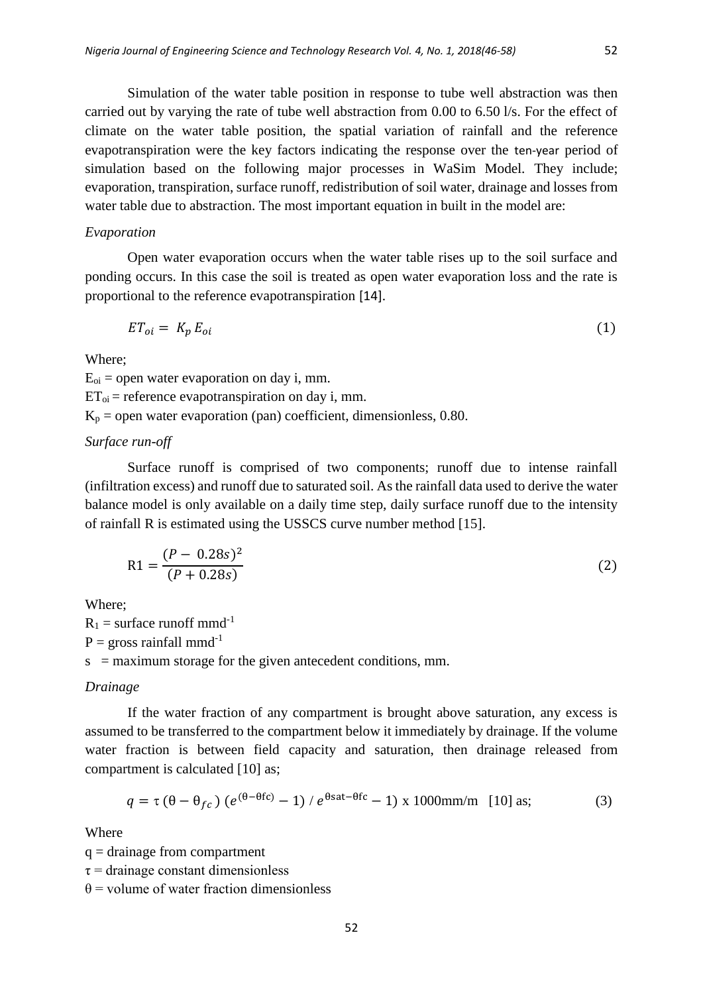Simulation of the water table position in response to tube well abstraction was then carried out by varying the rate of tube well abstraction from 0.00 to 6.50 l/s. For the effect of climate on the water table position, the spatial variation of rainfall and the reference evapotranspiration were the key factors indicating the response over the ten-year period of simulation based on the following major processes in WaSim Model*.* They include; evaporation, transpiration, surface runoff, redistribution of soil water, drainage and losses from water table due to abstraction. The most important equation in built in the model are:

#### *Evaporation*

Open water evaporation occurs when the water table rises up to the soil surface and ponding occurs. In this case the soil is treated as open water evaporation loss and the rate is proportional to the reference evapotranspiration [14].

$$
ET_{oi} = K_p E_{oi} \tag{1}
$$

Where;

 $E_{oi}$  = open water evaporation on day i, mm.  $ET_{oi}$  = reference evapotranspiration on day i, mm.  $K_p$  = open water evaporation (pan) coefficient, dimensionless, 0.80.

## *Surface run*-*off*

Surface runoff is comprised of two components; runoff due to intense rainfall (infiltration excess) and runoff due to saturated soil. As the rainfall data used to derive the water balance model is only available on a daily time step, daily surface runoff due to the intensity of rainfall R is estimated using the USSCS curve number method [15].

$$
R1 = \frac{(P - 0.28s)^2}{(P + 0.28s)}
$$
(2)

Where;

 $R_1$  = surface runoff mmd<sup>-1</sup>  $P =$  gross rainfall mmd<sup>-1</sup>  $s =$  maximum storage for the given antecedent conditions, mm.

#### *Drainage*

If the water fraction of any compartment is brought above saturation, any excess is assumed to be transferred to the compartment below it immediately by drainage. If the volume water fraction is between field capacity and saturation, then drainage released from compartment is calculated [10] as;

$$
q = \tau \left(\theta - \theta_{fc}\right) \left(e^{(\theta - \theta f c)} - 1\right) / e^{\theta \text{sat} - \theta f c} - 1\right) \times 1000 \text{mm/m} \quad [10] \text{ as};\tag{3}
$$

Where

 $q =$ drainage from compartment

 $\tau$  = drainage constant dimensionless

 $\theta$  = volume of water fraction dimensionless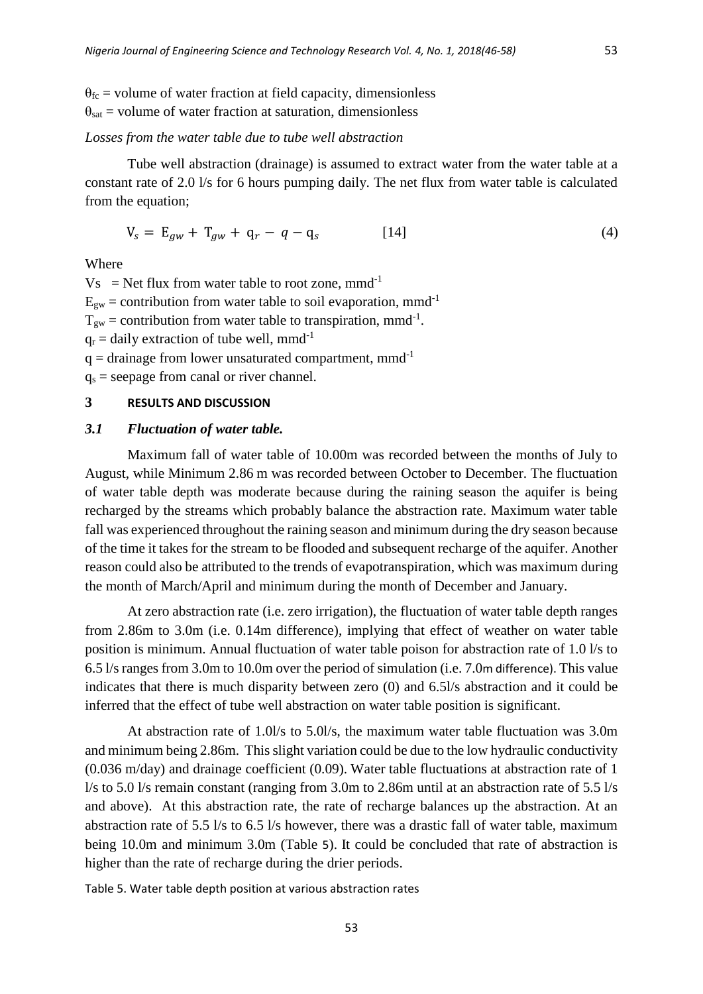$\theta_{\text{fc}}$  = volume of water fraction at field capacity, dimensionless

 $\theta_{\text{sat}}$  = volume of water fraction at saturation, dimensionless

# *Losses from the water table due to tube well abstraction*

Tube well abstraction (drainage) is assumed to extract water from the water table at a constant rate of 2.0 l/s for 6 hours pumping daily. The net flux from water table is calculated from the equation;

$$
V_s = E_{gw} + T_{gw} + q_r - q - q_s \tag{4}
$$

Where

 $Vs = Net flux from water table to root zone, mmd<sup>-1</sup>$  $E_{gw}$  = contribution from water table to soil evaporation, mmd<sup>-1</sup>  $T_{gw}$  = contribution from water table to transpiration, mmd<sup>-1</sup>.  $q_r$  = daily extraction of tube well, mmd<sup>-1</sup>  $q =$  drainage from lower unsaturated compartment, mmd<sup>-1</sup>

 $q_s$  = seepage from canal or river channel.

# **3 RESULTS AND DISCUSSION**

#### *3.1 Fluctuation of water table.*

Maximum fall of water table of 10.00m was recorded between the months of July to August, while Minimum 2.86 m was recorded between October to December. The fluctuation of water table depth was moderate because during the raining season the aquifer is being recharged by the streams which probably balance the abstraction rate. Maximum water table fall was experienced throughout the raining season and minimum during the dry season because of the time it takes for the stream to be flooded and subsequent recharge of the aquifer. Another reason could also be attributed to the trends of evapotranspiration, which was maximum during the month of March/April and minimum during the month of December and January.

At zero abstraction rate (i.e. zero irrigation), the fluctuation of water table depth ranges from 2.86m to 3.0m (i.e. 0.14m difference), implying that effect of weather on water table position is minimum. Annual fluctuation of water table poison for abstraction rate of 1.0 l/s to 6.5 l/s ranges from 3.0m to 10.0m over the period of simulation (i.e. 7.0m difference). This value indicates that there is much disparity between zero (0) and 6.5l/s abstraction and it could be inferred that the effect of tube well abstraction on water table position is significant.

At abstraction rate of 1.0l/s to 5.0l/s, the maximum water table fluctuation was 3.0m and minimum being 2.86m. This slight variation could be due to the low hydraulic conductivity (0.036 m/day) and drainage coefficient (0.09). Water table fluctuations at abstraction rate of 1 l/s to 5.0 l/s remain constant (ranging from 3.0m to 2.86m until at an abstraction rate of 5.5 l/s and above). At this abstraction rate, the rate of recharge balances up the abstraction. At an abstraction rate of 5.5 l/s to 6.5 l/s however, there was a drastic fall of water table, maximum being 10.0m and minimum 3.0m (Table 5). It could be concluded that rate of abstraction is higher than the rate of recharge during the drier periods.

Table 5. Water table depth position at various abstraction rates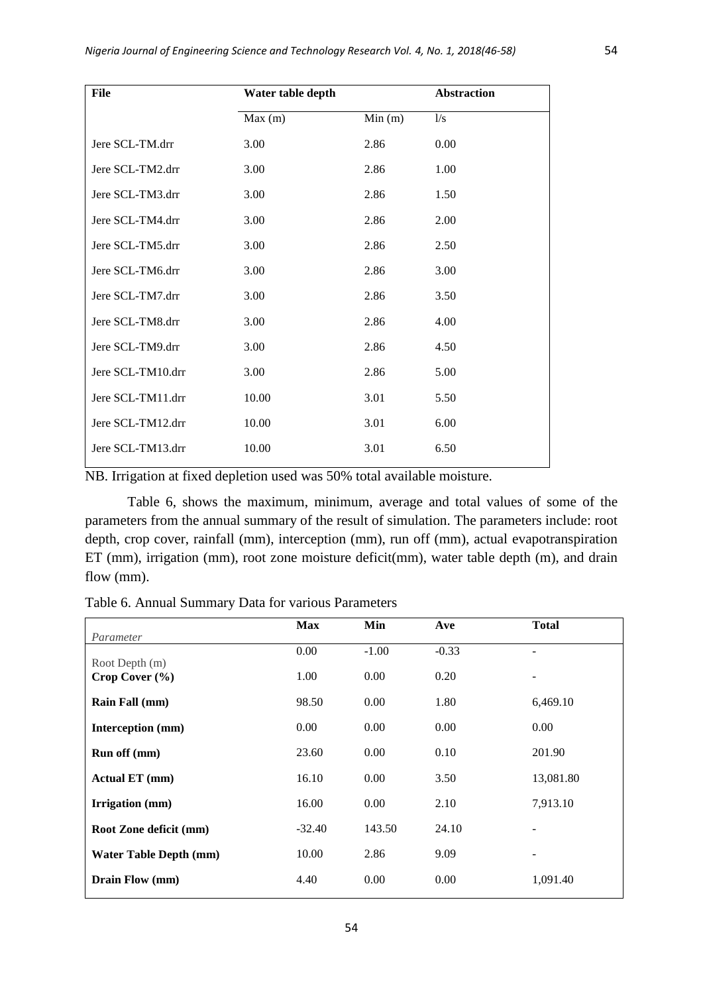| File              | Water table depth |        | <b>Abstraction</b> |
|-------------------|-------------------|--------|--------------------|
|                   | Max(m)            | Min(m) | 1/s                |
| Jere SCL-TM.drr   | 3.00              | 2.86   | 0.00               |
| Jere SCL-TM2.drr  | 3.00              | 2.86   | 1.00               |
| Jere SCL-TM3.drr  | 3.00              | 2.86   | 1.50               |
| Jere SCL-TM4.drr  | 3.00              | 2.86   | 2.00               |
| Jere SCL-TM5.drr  | 3.00              | 2.86   | 2.50               |
| Jere SCL-TM6.drr  | 3.00              | 2.86   | 3.00               |
| Jere SCL-TM7.drr  | 3.00              | 2.86   | 3.50               |
| Jere SCL-TM8.drr  | 3.00              | 2.86   | 4.00               |
| Jere SCL-TM9.drr  | 3.00              | 2.86   | 4.50               |
| Jere SCL-TM10.drr | 3.00              | 2.86   | 5.00               |
| Jere SCL-TM11.drr | 10.00             | 3.01   | 5.50               |
| Jere SCL-TM12.drr | 10.00             | 3.01   | 6.00               |
| Jere SCL-TM13.drr | 10.00             | 3.01   | 6.50               |
|                   |                   |        |                    |

NB. Irrigation at fixed depletion used was 50% total available moisture.

Table 6, shows the maximum, minimum, average and total values of some of the parameters from the annual summary of the result of simulation. The parameters include: root depth, crop cover, rainfall (mm), interception (mm), run off (mm), actual evapotranspiration ET (mm), irrigation (mm), root zone moisture deficit(mm), water table depth (m), and drain flow (mm).

Table 6. Annual Summary Data for various Parameters

| Parameter                            | <b>Max</b> | Min     | Ave     | <b>Total</b>             |
|--------------------------------------|------------|---------|---------|--------------------------|
|                                      | 0.00       | $-1.00$ | $-0.33$ | ۰                        |
| Root Depth (m)<br>Crop Cover $(\% )$ | 1.00       | 0.00    | 0.20    | $\overline{\phantom{a}}$ |
| <b>Rain Fall</b> (mm)                | 98.50      | 0.00    | 1.80    | 6,469.10                 |
| Interception (mm)                    | 0.00       | 0.00    | 0.00    | 0.00                     |
| Run off (mm)                         | 23.60      | 0.00    | 0.10    | 201.90                   |
| Actual ET (mm)                       | 16.10      | 0.00    | 3.50    | 13,081.80                |
| Irrigation (mm)                      | 16.00      | 0.00    | 2.10    | 7,913.10                 |
| Root Zone deficit (mm)               | $-32.40$   | 143.50  | 24.10   | $\overline{\phantom{a}}$ |
| <b>Water Table Depth (mm)</b>        | 10.00      | 2.86    | 9.09    | $\overline{\phantom{a}}$ |
| Drain Flow (mm)                      | 4.40       | 0.00    | 0.00    | 1,091.40                 |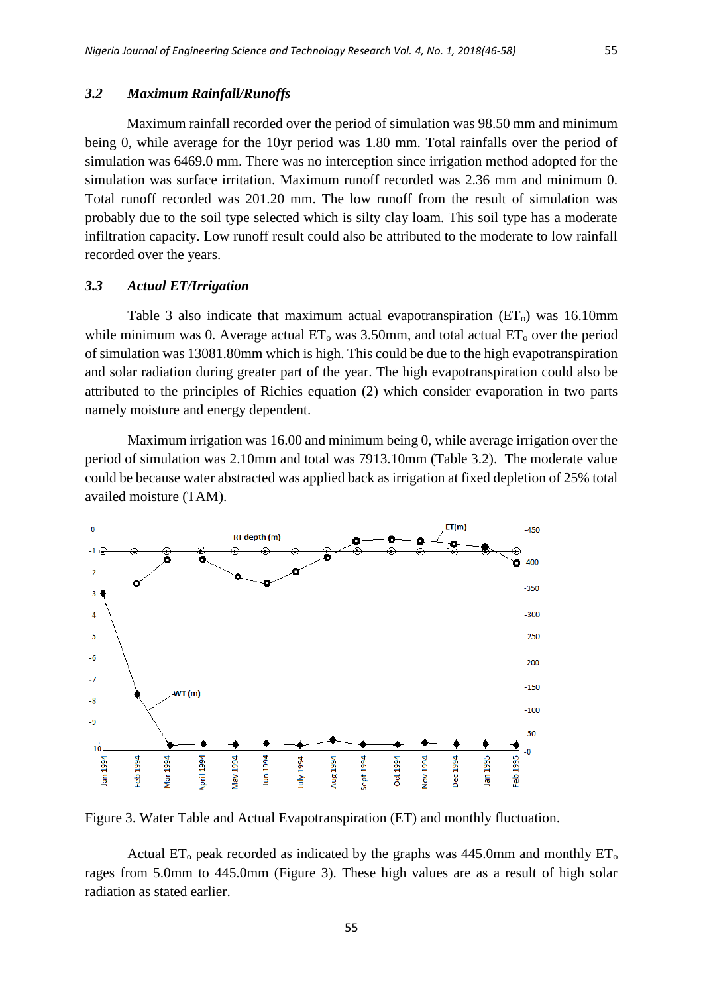#### *3.2 Maximum Rainfall/Runoffs*

Maximum rainfall recorded over the period of simulation was 98.50 mm and minimum being 0, while average for the 10yr period was 1.80 mm. Total rainfalls over the period of simulation was 6469.0 mm. There was no interception since irrigation method adopted for the simulation was surface irritation. Maximum runoff recorded was 2.36 mm and minimum 0. Total runoff recorded was 201.20 mm. The low runoff from the result of simulation was probably due to the soil type selected which is silty clay loam. This soil type has a moderate infiltration capacity. Low runoff result could also be attributed to the moderate to low rainfall recorded over the years.

#### *3.3 Actual ET/Irrigation*

Table 3 also indicate that maximum actual evapotranspiration  $(ET_0)$  was 16.10mm while minimum was 0. Average actual  $ET_0$  was 3.50mm, and total actual  $ET_0$  over the period of simulation was 13081.80mm which is high. This could be due to the high evapotranspiration and solar radiation during greater part of the year. The high evapotranspiration could also be attributed to the principles of Richies equation (2) which consider evaporation in two parts namely moisture and energy dependent.

Maximum irrigation was 16.00 and minimum being 0, while average irrigation over the period of simulation was 2.10mm and total was 7913.10mm (Table 3.2). The moderate value could be because water abstracted was applied back as irrigation at fixed depletion of 25% total availed moisture (TAM).



Figure 3. Water Table and Actual Evapotranspiration (ET) and monthly fluctuation.

Actual  $ET_0$  peak recorded as indicated by the graphs was 445.0mm and monthly  $ET_0$ rages from 5.0mm to 445.0mm (Figure 3). These high values are as a result of high solar radiation as stated earlier.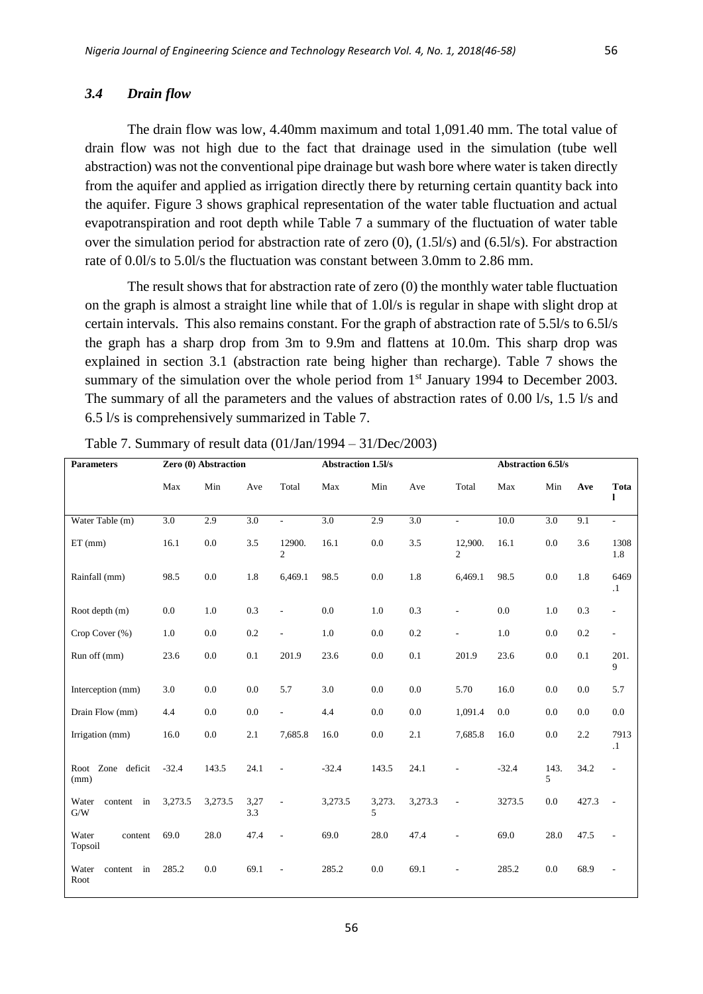#### *3.4 Drain flow*

The drain flow was low, 4.40mm maximum and total 1,091.40 mm. The total value of drain flow was not high due to the fact that drainage used in the simulation (tube well abstraction) was not the conventional pipe drainage but wash bore where water is taken directly from the aquifer and applied as irrigation directly there by returning certain quantity back into the aquifer. Figure 3 shows graphical representation of the water table fluctuation and actual evapotranspiration and root depth while Table 7 a summary of the fluctuation of water table over the simulation period for abstraction rate of zero (0), (1.5l/s) and (6.5l/s). For abstraction rate of 0.0l/s to 5.0l/s the fluctuation was constant between 3.0mm to 2.86 mm.

The result shows that for abstraction rate of zero (0) the monthly water table fluctuation on the graph is almost a straight line while that of 1.0l/s is regular in shape with slight drop at certain intervals. This also remains constant. For the graph of abstraction rate of 5.5l/s to 6.5l/s the graph has a sharp drop from 3m to 9.9m and flattens at 10.0m. This sharp drop was explained in section 3.1 (abstraction rate being higher than recharge). Table 7 shows the summary of the simulation over the whole period from  $1<sup>st</sup>$  January 1994 to December 2003. The summary of all the parameters and the values of abstraction rates of 0.00 l/s, 1.5 l/s and 6.5 l/s is comprehensively summarized in Table 7.

| <b>Parameters</b>              |         | Zero (0) Abstraction |             |                          | <b>Abstraction 1.5l/s</b> |             |                  | <b>Abstraction 6.5l/s</b> |         |            |       |                          |
|--------------------------------|---------|----------------------|-------------|--------------------------|---------------------------|-------------|------------------|---------------------------|---------|------------|-------|--------------------------|
|                                | Max     | Min                  | Ave         | Total                    | Max                       | Min         | Ave              | Total                     | Max     | Min        | Ave   | Tota<br>ı                |
| Water Table (m)                | 3.0     | 2.9                  | 3.0         | $\sim$                   | 3.0                       | 2.9         | $\overline{3.0}$ | $\sim$                    | 10.0    | 3.0        | 9.1   | $\overline{\phantom{a}}$ |
| $ET$ (mm)                      | 16.1    | 0.0                  | 3.5         | 12900.<br>$\overline{c}$ | 16.1                      | 0.0         | 3.5              | 12,900.<br>$\overline{c}$ | 16.1    | 0.0        | 3.6   | 1308<br>1.8              |
| Rainfall (mm)                  | 98.5    | 0.0                  | 1.8         | 6,469.1                  | 98.5                      | 0.0         | 1.8              | 6,469.1                   | 98.5    | 0.0        | 1.8   | 6469<br>$\cdot$          |
| Root depth (m)                 | 0.0     | 1.0                  | 0.3         | $\overline{\phantom{a}}$ | 0.0                       | 1.0         | 0.3              | ÷,                        | 0.0     | 1.0        | 0.3   | $\overline{\phantom{a}}$ |
| Crop Cover (%)                 | 1.0     | 0.0                  | 0.2         | $\overline{\phantom{a}}$ | 1.0                       | 0.0         | 0.2              | ÷,                        | 1.0     | 0.0        | 0.2   | $\frac{1}{2}$            |
| Run off (mm)                   | 23.6    | 0.0                  | 0.1         | 201.9                    | 23.6                      | 0.0         | 0.1              | 201.9                     | 23.6    | 0.0        | 0.1   | 201.<br>9                |
| Interception (mm)              | 3.0     | 0.0                  | 0.0         | 5.7                      | 3.0                       | 0.0         | 0.0              | 5.70                      | 16.0    | 0.0        | 0.0   | 5.7                      |
| Drain Flow (mm)                | 4.4     | 0.0                  | 0.0         | $\overline{\phantom{a}}$ | 4.4                       | 0.0         | 0.0              | 1,091.4                   | 0.0     | 0.0        | 0.0   | 0.0                      |
| Irrigation (mm)                | 16.0    | 0.0                  | 2.1         | 7,685.8                  | 16.0                      | 0.0         | 2.1              | 7,685.8                   | 16.0    | 0.0        | 2.2   | 7913<br>$\cdot$ 1        |
| Root Zone deficit<br>(mm)      | $-32.4$ | 143.5                | 24.1        | $\overline{\phantom{a}}$ | $-32.4$                   | 143.5       | 24.1             | L,                        | $-32.4$ | 143.<br>5. | 34.2  | $\overline{\phantom{a}}$ |
| Water<br>content in<br>G/W     | 3,273.5 | 3,273.5              | 3,27<br>3.3 | $\overline{a}$           | 3,273.5                   | 3,273.<br>5 | 3,273.3          | $\overline{\phantom{a}}$  | 3273.5  | 0.0        | 427.3 | $\overline{\phantom{a}}$ |
| Water<br>content<br>Topsoil    | 69.0    | 28.0                 | 47.4        | $\overline{\phantom{a}}$ | 69.0                      | 28.0        | 47.4             | ÷,                        | 69.0    | 28.0       | 47.5  |                          |
| Water<br>in<br>content<br>Root | 285.2   | 0.0                  | 69.1        | $\sim$                   | 285.2                     | 0.0         | 69.1             | $\overline{a}$            | 285.2   | 0.0        | 68.9  | $\overline{a}$           |

Table 7. Summary of result data (01/Jan/1994 – 31/Dec/2003)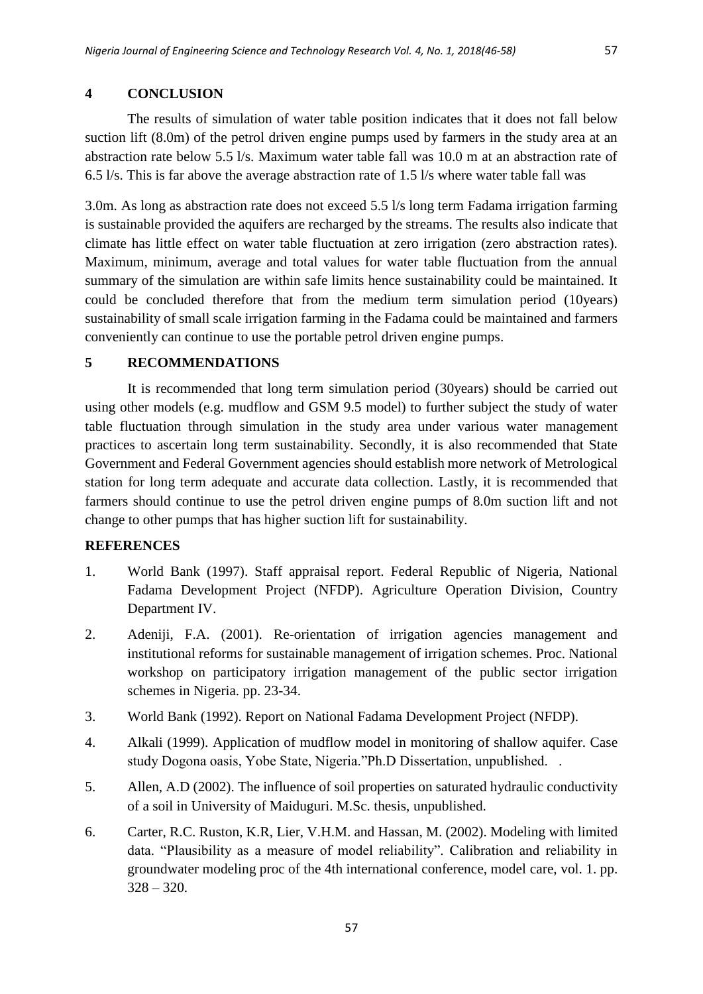# **4 CONCLUSION**

The results of simulation of water table position indicates that it does not fall below suction lift (8.0m) of the petrol driven engine pumps used by farmers in the study area at an abstraction rate below 5.5 l/s. Maximum water table fall was 10.0 m at an abstraction rate of 6.5 l/s. This is far above the average abstraction rate of 1.5 l/s where water table fall was

3.0m. As long as abstraction rate does not exceed 5.5 l/s long term Fadama irrigation farming is sustainable provided the aquifers are recharged by the streams. The results also indicate that climate has little effect on water table fluctuation at zero irrigation (zero abstraction rates). Maximum, minimum, average and total values for water table fluctuation from the annual summary of the simulation are within safe limits hence sustainability could be maintained. It could be concluded therefore that from the medium term simulation period (10years) sustainability of small scale irrigation farming in the Fadama could be maintained and farmers conveniently can continue to use the portable petrol driven engine pumps.

# **5 RECOMMENDATIONS**

It is recommended that long term simulation period (30years) should be carried out using other models (e.g. mudflow and GSM 9.5 model) to further subject the study of water table fluctuation through simulation in the study area under various water management practices to ascertain long term sustainability. Secondly, it is also recommended that State Government and Federal Government agencies should establish more network of Metrological station for long term adequate and accurate data collection. Lastly, it is recommended that farmers should continue to use the petrol driven engine pumps of 8.0m suction lift and not change to other pumps that has higher suction lift for sustainability.

# **REFERENCES**

- 1. World Bank (1997). Staff appraisal report. Federal Republic of Nigeria, National Fadama Development Project (NFDP). Agriculture Operation Division, Country Department IV.
- 2. Adeniji, F.A. (2001). Re-orientation of irrigation agencies management and institutional reforms for sustainable management of irrigation schemes. Proc. National workshop on participatory irrigation management of the public sector irrigation schemes in Nigeria. pp. 23-34.
- 3. World Bank (1992). Report on National Fadama Development Project (NFDP).
- 4. Alkali (1999). Application of mudflow model in monitoring of shallow aquifer. Case study Dogona oasis, Yobe State, Nigeria."Ph.D Dissertation, unpublished. .
- 5. Allen, A.D (2002). The influence of soil properties on saturated hydraulic conductivity of a soil in University of Maiduguri. M.Sc. thesis, unpublished.
- 6. Carter, R.C. Ruston, K.R, Lier, V.H.M. and Hassan, M. (2002). Modeling with limited data. "Plausibility as a measure of model reliability". Calibration and reliability in groundwater modeling proc of the 4th international conference, model care, vol. 1. pp.  $328 - 320$ .